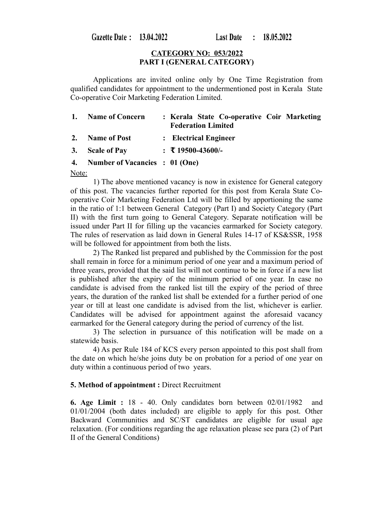Gazette Date: 13.04.2022

#### **CATEGORY NO: 053/2022 PART I (GENERAL CATEGORY)**

Applications are invited online only by One Time Registration from qualified candidates for appointment to the undermentioned post in Kerala State Co-operative Coir Marketing Federation Limited.

| 1. Name of Concern                | : Kerala State Co-operative Coir Marketing<br><b>Federation Limited</b> |  |
|-----------------------------------|-------------------------------------------------------------------------|--|
| 2. Name of Post                   | : Electrical Engineer                                                   |  |
| 3. Scale of Pay                   | $\div$ ₹ 19500-43600/-                                                  |  |
| 4. Number of Vacancies : 01 (One) |                                                                         |  |

Note:

1) The above mentioned vacancy is now in existence for General category of this post. The vacancies further reported for this post from Kerala State Cooperative Coir Marketing Federation Ltd will be filled by apportioning the same in the ratio of 1:1 between General Category (Part I) and Society Category (Part II) with the first turn going to General Category. Separate notification will be issued under Part II for filling up the vacancies earmarked for Society category. The rules of reservation as laid down in General Rules 14-17 of KS&SSR, 1958 will be followed for appointment from both the lists.

2) The Ranked list prepared and published by the Commission for the post shall remain in force for a minimum period of one year and a maximum period of three years, provided that the said list will not continue to be in force if a new list is published after the expiry of the minimum period of one year. In case no candidate is advised from the ranked list till the expiry of the period of three years, the duration of the ranked list shall be extended for a further period of one year or till at least one candidate is advised from the list, whichever is earlier. Candidates will be advised for appointment against the aforesaid vacancy earmarked for the General category during the period of currency of the list.

3) The selection in pursuance of this notification will be made on a statewide basis.

4) As per Rule 184 of KCS every person appointed to this post shall from the date on which he/she joins duty be on probation for a period of one year on duty within a continuous period of two years.

## **5. Method of appointment :** Direct Recruitment

**6. Age Limit :** 18 - 40. Only candidates born between 02/01/1982 and 01/01/2004 (both dates included) are eligible to apply for this post. Other Backward Communities and SC/ST candidates are eligible for usual age relaxation. (For conditions regarding the age relaxation please see para (2) of Part II of the General Conditions)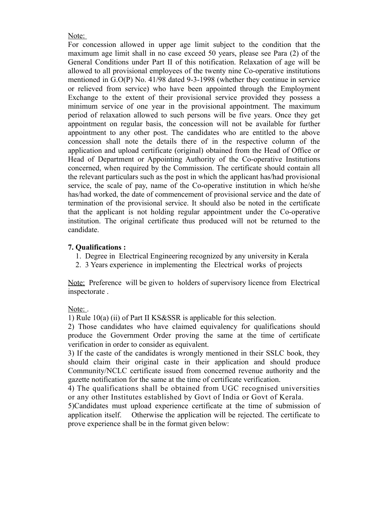Note:

For concession allowed in upper age limit subject to the condition that the maximum age limit shall in no case exceed 50 years, please see Para (2) of the General Conditions under Part II of this notification. Relaxation of age will be allowed to all provisional employees of the twenty nine Co-operative institutions mentioned in G.O(P) No. 41/98 dated 9-3-1998 (whether they continue in service or relieved from service) who have been appointed through the Employment Exchange to the extent of their provisional service provided they possess a minimum service of one year in the provisional appointment. The maximum period of relaxation allowed to such persons will be five years. Once they get appointment on regular basis, the concession will not be available for further appointment to any other post. The candidates who are entitled to the above concession shall note the details there of in the respective column of the application and upload certificate (original) obtained from the Head of Office or Head of Department or Appointing Authority of the Co-operative Institutions concerned, when required by the Commission. The certificate should contain all the relevant particulars such as the post in which the applicant has/had provisional service, the scale of pay, name of the Co-operative institution in which he/she has/had worked, the date of commencement of provisional service and the date of termination of the provisional service. It should also be noted in the certificate that the applicant is not holding regular appointment under the Co-operative institution. The original certificate thus produced will not be returned to the candidate.

# **7. Qualifications :**

- 1. Degree in Electrical Engineering recognized by any university in Kerala
- 2. 3 Years experience in implementing the Electrical works of projects

Note: Preference will be given to holders of supervisory licence from Electrical inspectorate .

## Note:

1) Rule 10(a) (ii) of Part II KS&SSR is applicable for this selection.

2) Those candidates who have claimed equivalency for qualifications should produce the Government Order proving the same at the time of certificate verification in order to consider as equivalent.

3) If the caste of the candidates is wrongly mentioned in their SSLC book, they should claim their original caste in their application and should produce Community/NCLC certificate issued from concerned revenue authority and the gazette notification for the same at the time of certificate verification.

4) The qualifications shall be obtained from UGC recognised universities or any other Institutes established by Govt of India or Govt of Kerala.

5)Candidates must upload experience certificate at the time of submission of application itself. Otherwise the application will be rejected. The certificate to prove experience shall be in the format given below: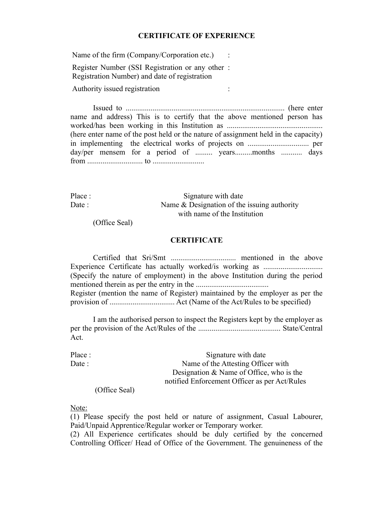#### **CERTIFICATE OF EXPERIENCE**

Name of the firm (Company/Corporation etc.) Register Number (SSI Registration or any other : Registration Number) and date of registration Authority issued registration :

Issued to ................................................................................... (here enter name and address) This is to certify that the above mentioned person has worked/has been working in this Institution as .................................................. (here enter name of the post held or the nature of assignment held in the capacity) in implementing the electrical works of projects on ................................ per day/per mensem for a period of ......... years.........months ............ days from ............................. to ...........................

Place : Signature with date Date : Name & Designation of the issuing authority with name of the Institution

(Office Seal)

## **CERTIFICATE**

Certified that Sri/Smt .................................. mentioned in the above Experience Certificate has actually worked/is working as ............................... (Specify the nature of employment) in the above Institution during the period mentioned therein as per the entry in the ...................................... Register (mention the name of Register) maintained by the employer as per the provision of .................................. Act (Name of the Act/Rules to be specified)

I am the authorised person to inspect the Registers kept by the employer as per the provision of the Act/Rules of the ........................................... State/Central Act.

| Place : | Signature with date                           |
|---------|-----------------------------------------------|
| Date :  | Name of the Attesting Officer with            |
|         | Designation $\&$ Name of Office, who is the   |
|         | notified Enforcement Officer as per Act/Rules |
|         |                                               |

(Office Seal)

Note:

(1) Please specify the post held or nature of assignment, Casual Labourer, Paid/Unpaid Apprentice/Regular worker or Temporary worker.

(2) All Experience certificates should be duly certified by the concerned Controlling Officer/ Head of Office of the Government. The genuineness of the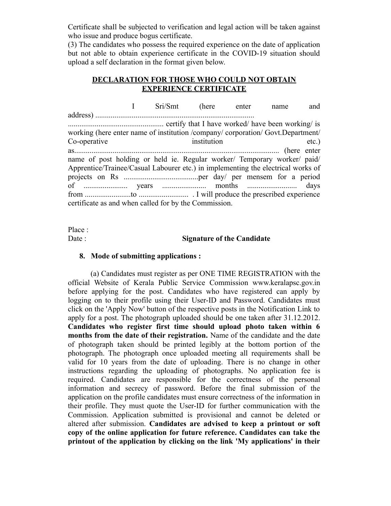Certificate shall be subjected to verification and legal action will be taken against who issue and produce bogus certificate.

(3) The candidates who possess the required experience on the date of application but not able to obtain experience certificate in the COVID-19 situation should upload a self declaration in the format given below.

## **DECLARATION FOR THOSE WHO COULD NOT OBTAIN EXPERIENCE CERTIFICATE**

 I Sri/Smt (here enter name and address) ................................................................................... .................................................. certify that I have worked/ have been working/ is working (here enter name of institution /company/ corporation/ Govt.Department/ Co-operative institution etc.) as........................................................................................................... (here enter name of post holding or held ie. Regular worker/ Temporary worker/ paid/ Apprentice/Trainee/Casual Labourer etc.) in implementing the electrical works of projects on Rs .......................................per day/ per mensem for a period of ....................... years ....................... months .......................... days from ........................to .......................... . I will produce the prescribed experience certificate as and when called for by the Commission.

Place :

#### Date : **Signature of the Candidate**

#### **8. Mode of submitting applications :**

(a) Candidates must register as per ONE TIME REGISTRATION with the official Website of Kerala Public Service Commission www.keralapsc.gov.in before applying for the post. Candidates who have registered can apply by logging on to their profile using their User-ID and Password. Candidates must click on the 'Apply Now' button of the respective posts in the Notification Link to apply for a post. The photograph uploaded should be one taken after 31.12.2012. **Candidates who register first time should upload photo taken within 6 months from the date of their registration.** Name of the candidate and the date of photograph taken should be printed legibly at the bottom portion of the photograph. The photograph once uploaded meeting all requirements shall be valid for 10 years from the date of uploading. There is no change in other instructions regarding the uploading of photographs. No application fee is required. Candidates are responsible for the correctness of the personal information and secrecy of password. Before the final submission of the application on the profile candidates must ensure correctness of the information in their profile. They must quote the User-ID for further communication with the Commission. Application submitted is provisional and cannot be deleted or altered after submission. **Candidates are advised to keep a printout or soft copy of the online application for future reference. Candidates can take the printout of the application by clicking on the link 'My applications' in their**